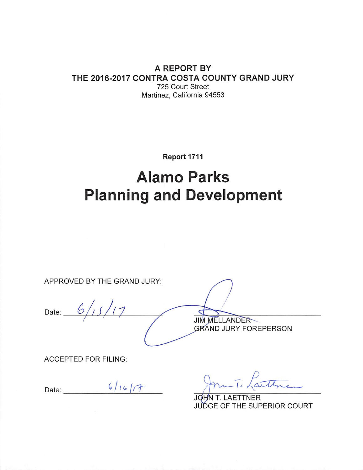#### A REPORT BY THE 2016-2017 CONTRA COSTA COUNTY GRAND JURY 725 Court Street Martinez, California 94553

Report 1711

# **Alamo Parks Planning and Development**

APPROVED BY THE GRAND JURY:

Date:  $6/15/17$ 

**JIM MELLANDER GRAND JURY FOREPERSON** 

**ACCEPTED FOR FILING:** 

Date:  $6/16/7$ 

aithre

JOHN T. LAETTNER JUDGE OF THE SUPERIOR COURT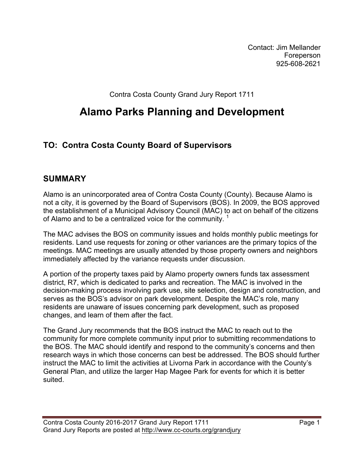Contact: Jim Mellander Foreperson 925-608-2621

Contra Costa County Grand Jury Report 1711

# **Alamo Parks Planning and Development**

# **TO: Contra Costa County Board of Supervisors**

#### **SUMMARY**

Alamo is an unincorporated area of Contra Costa County (County). Because Alamo is not a city, it is governed by the Board of Supervisors (BOS). In 2009, the BOS approved the establishment of a Municipal Advisory Council (MAC) to act on behalf of the citizens of Alamo and to be a centralized voice for the community. <sup>1</sup>

The MAC advises the BOS on community issues and holds monthly public meetings for residents. Land use requests for zoning or other variances are the primary topics of the meetings. MAC meetings are usually attended by those property owners and neighbors immediately affected by the variance requests under discussion.

A portion of the property taxes paid by Alamo property owners funds tax assessment district, R7, which is dedicated to parks and recreation. The MAC is involved in the decision-making process involving park use, site selection, design and construction, and serves as the BOS's advisor on park development. Despite the MAC's role, many residents are unaware of issues concerning park development, such as proposed changes, and learn of them after the fact.

The Grand Jury recommends that the BOS instruct the MAC to reach out to the community for more complete community input prior to submitting recommendations to the BOS. The MAC should identify and respond to the community's concerns and then research ways in which those concerns can best be addressed. The BOS should further instruct the MAC to limit the activities at Livorna Park in accordance with the County's General Plan, and utilize the larger Hap Magee Park for events for which it is better suited.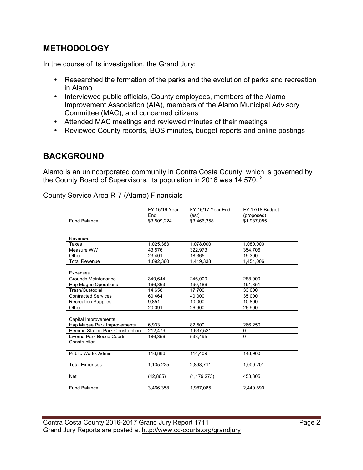# **METHODOLOGY**

In the course of its investigation, the Grand Jury:

- Researched the formation of the parks and the evolution of parks and recreation in Alamo
- Interviewed public officials, County employees, members of the Alamo Improvement Association (AIA), members of the Alamo Municipal Advisory Committee (MAC), and concerned citizens
- Attended MAC meetings and reviewed minutes of their meetings
- Reviewed County records, BOS minutes, budget reports and online postings

# **BACKGROUND**

Alamo is an unincorporated community in Contra Costa County, which is governed by the County Board of Supervisors. Its population in 2016 was  $14,570$ . <sup>2</sup>

|                                        | FY 15/16 Year | FY 16/17 Year End | FY 17/18 Budget |
|----------------------------------------|---------------|-------------------|-----------------|
|                                        | End           | (est)             | (proposed)      |
| <b>Fund Balance</b>                    | \$3,509,224   | \$3,466,358       | \$1,987,085     |
|                                        |               |                   |                 |
|                                        |               |                   |                 |
| Revenue:                               |               |                   |                 |
| Taxes                                  | 1,025,383     | 1,078,000         | 1,080,000       |
| Measure WW                             | 43,576        | 322.973           | 354.706         |
| Other                                  | 23,401        | 18,365            | 19,300          |
| Total Revenue                          | 1,092,360     | 1,419,338         | 1,454,006       |
|                                        |               |                   |                 |
| Expenses                               |               |                   |                 |
| Grounds Maintenance                    | 340,644       | 246,000           | 288,000         |
| Hap Magee Operations                   | 166,863       | 190,186           | 191,351         |
| Trash/Custodial                        | 14.658        | 17,700            | 33,000          |
| <b>Contracted Services</b>             | 60,464        | 40.000            | 35.000          |
| <b>Recreation Supplies</b>             | 9,851         | 10,000            | 10,800          |
| Other                                  | 20,091        | 26,900            | 26,900          |
|                                        |               |                   |                 |
| Capital Improvements                   |               |                   |                 |
| Hap Magee Park Improvements            | 6,933         | 82.500            | 266,250         |
| <b>Hemme Station Park Construction</b> | 212,479       | 1,637,521         | $\Omega$        |
| Livorna Park Bocce Courts              | 186.356       | 533.495           | $\Omega$        |
| Construction                           |               |                   |                 |
|                                        |               |                   |                 |
| <b>Public Works Admin</b>              | 116,886       | 114,409           | 148,900         |
|                                        |               |                   |                 |
| <b>Total Expenses</b>                  | 1,135,225     | 2,898,711         | 1,000,201       |
|                                        |               |                   |                 |
| <b>Net</b>                             | (42, 865)     | (1,479,273)       | 453,805         |
|                                        |               |                   |                 |
| <b>Fund Balance</b>                    | 3.466.358     | 1,987,085         | 2.440.890       |

County Service Area R-7 (Alamo) Financials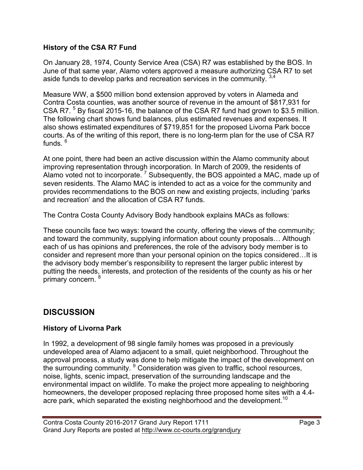#### **History of the CSA R7 Fund**

On January 28, 1974, County Service Area (CSA) R7 was established by the BOS. In June of that same year, Alamo voters approved a measure authorizing CSA R7 to set aside funds to develop parks and recreation services in the community.  $3,4$ 

Measure WW, a \$500 million bond extension approved by voters in Alameda and Contra Costa counties, was another source of revenue in the amount of \$817,931 for CSA R7.<sup>5</sup> By fiscal 2015-16, the balance of the CSA R7 fund had grown to \$3.5 million. The following chart shows fund balances, plus estimated revenues and expenses. It also shows estimated expenditures of \$719,851 for the proposed Livorna Park bocce courts. As of the writing of this report, there is no long-term plan for the use of CSA R7 funds.<sup>6</sup>

At one point, there had been an active discussion within the Alamo community about improving representation through incorporation. In March of 2009, the residents of Alamo voted not to incorporate.<sup>7</sup> Subsequently, the BOS appointed a MAC, made up of seven residents. The Alamo MAC is intended to act as a voice for the community and provides recommendations to the BOS on new and existing projects, including 'parks and recreation' and the allocation of CSA R7 funds.

The Contra Costa County Advisory Body handbook explains MACs as follows:

These councils face two ways: toward the county, offering the views of the community; and toward the community, supplying information about county proposals… Although each of us has opinions and preferences, the role of the advisory body member is to consider and represent more than your personal opinion on the topics considered…It is the advisory body member's responsibility to represent the larger public interest by putting the needs, interests, and protection of the residents of the county as his or her primary concern. <sup>8</sup>

# **DISCUSSION**

#### **History of Livorna Park**

In 1992, a development of 98 single family homes was proposed in a previously undeveloped area of Alamo adjacent to a small, quiet neighborhood. Throughout the approval process, a study was done to help mitigate the impact of the development on the surrounding community. <sup>9</sup> Consideration was given to traffic, school resources, noise, lights, scenic impact, preservation of the surrounding landscape and the environmental impact on wildlife. To make the project more appealing to neighboring homeowners, the developer proposed replacing three proposed home sites with a 4.4 acre park, which separated the existing neighborhood and the development.<sup>10</sup>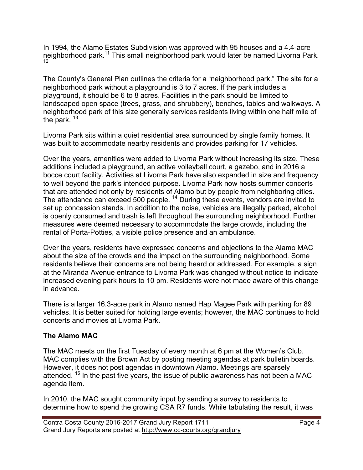In 1994, the Alamo Estates Subdivision was approved with 95 houses and a 4.4-acre neighborhood park.11 This small neighborhood park would later be named Livorna Park. 12

The County's General Plan outlines the criteria for a "neighborhood park." The site for a neighborhood park without a playground is 3 to 7 acres. If the park includes a playground, it should be 6 to 8 acres. Facilities in the park should be limited to landscaped open space (trees, grass, and shrubbery), benches, tables and walkways. A neighborhood park of this size generally services residents living within one half mile of the park.  $13$ 

Livorna Park sits within a quiet residential area surrounded by single family homes. It was built to accommodate nearby residents and provides parking for 17 vehicles.

Over the years, amenities were added to Livorna Park without increasing its size. These additions included a playground, an active volleyball court, a gazebo, and in 2016 a bocce court facility. Activities at Livorna Park have also expanded in size and frequency to well beyond the park's intended purpose. Livorna Park now hosts summer concerts that are attended not only by residents of Alamo but by people from neighboring cities. The attendance can exceed 500 people.<sup>14</sup> During these events, vendors are invited to set up concession stands. In addition to the noise, vehicles are illegally parked, alcohol is openly consumed and trash is left throughout the surrounding neighborhood. Further measures were deemed necessary to accommodate the large crowds, including the rental of Porta-Potties, a visible police presence and an ambulance.

Over the years, residents have expressed concerns and objections to the Alamo MAC about the size of the crowds and the impact on the surrounding neighborhood. Some residents believe their concerns are not being heard or addressed. For example, a sign at the Miranda Avenue entrance to Livorna Park was changed without notice to indicate increased evening park hours to 10 pm. Residents were not made aware of this change in advance.

There is a larger 16.3-acre park in Alamo named Hap Magee Park with parking for 89 vehicles. It is better suited for holding large events; however, the MAC continues to hold concerts and movies at Livorna Park.

#### **The Alamo MAC**

The MAC meets on the first Tuesday of every month at 6 pm at the Women's Club. MAC complies with the Brown Act by posting meeting agendas at park bulletin boards. However, it does not post agendas in downtown Alamo. Meetings are sparsely attended. <sup>15</sup> In the past five years, the issue of public awareness has not been a MAC agenda item.

In 2010, the MAC sought community input by sending a survey to residents to determine how to spend the growing CSA R7 funds. While tabulating the result, it was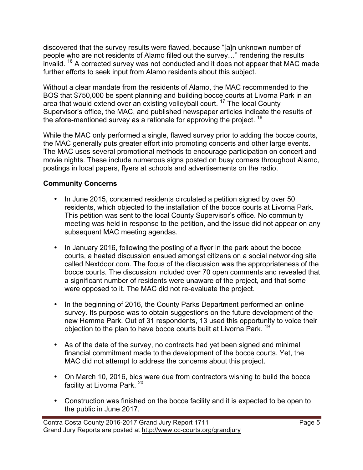discovered that the survey results were flawed, because "[a]n unknown number of people who are not residents of Alamo filled out the survey…" rendering the results invalid. <sup>16</sup> A corrected survey was not conducted and it does not appear that MAC made further efforts to seek input from Alamo residents about this subject.

Without a clear mandate from the residents of Alamo, the MAC recommended to the BOS that \$750,000 be spent planning and building bocce courts at Livorna Park in an area that would extend over an existing volleyball court. <sup>17</sup> The local County Supervisor's office, the MAC, and published newspaper articles indicate the results of the afore-mentioned survey as a rationale for approving the project.  $18$ 

While the MAC only performed a single, flawed survey prior to adding the bocce courts, the MAC generally puts greater effort into promoting concerts and other large events. The MAC uses several promotional methods to encourage participation on concert and movie nights. These include numerous signs posted on busy corners throughout Alamo, postings in local papers, flyers at schools and advertisements on the radio.

#### **Community Concerns**

- In June 2015, concerned residents circulated a petition signed by over 50 residents, which objected to the installation of the bocce courts at Livorna Park. This petition was sent to the local County Supervisor's office. No community meeting was held in response to the petition, and the issue did not appear on any subsequent MAC meeting agendas.
- In January 2016, following the posting of a flyer in the park about the bocce courts, a heated discussion ensued amongst citizens on a social networking site called Nextdoor.com. The focus of the discussion was the appropriateness of the bocce courts. The discussion included over 70 open comments and revealed that a significant number of residents were unaware of the project, and that some were opposed to it. The MAC did not re-evaluate the project.
- In the beginning of 2016, the County Parks Department performed an online survey. Its purpose was to obtain suggestions on the future development of the new Hemme Park. Out of 31 respondents, 13 used this opportunity to voice their objection to the plan to have bocce courts built at Livorna Park.<sup>19</sup>
- As of the date of the survey, no contracts had yet been signed and minimal financial commitment made to the development of the bocce courts. Yet, the MAC did not attempt to address the concerns about this project.
- On March 10, 2016, bids were due from contractors wishing to build the bocce facility at Livorna Park.<sup>20</sup>
- Construction was finished on the bocce facility and it is expected to be open to the public in June 2017.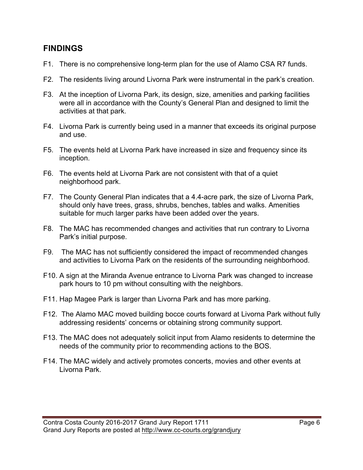#### **FINDINGS**

- F1. There is no comprehensive long-term plan for the use of Alamo CSA R7 funds.
- F2. The residents living around Livorna Park were instrumental in the park's creation.
- F3. At the inception of Livorna Park, its design, size, amenities and parking facilities were all in accordance with the County's General Plan and designed to limit the activities at that park.
- F4. Livorna Park is currently being used in a manner that exceeds its original purpose and use.
- F5. The events held at Livorna Park have increased in size and frequency since its inception.
- F6. The events held at Livorna Park are not consistent with that of a quiet neighborhood park.
- F7. The County General Plan indicates that a 4.4-acre park, the size of Livorna Park, should only have trees, grass, shrubs, benches, tables and walks. Amenities suitable for much larger parks have been added over the years.
- F8. The MAC has recommended changes and activities that run contrary to Livorna Park's initial purpose.
- F9. The MAC has not sufficiently considered the impact of recommended changes and activities to Livorna Park on the residents of the surrounding neighborhood.
- F10. A sign at the Miranda Avenue entrance to Livorna Park was changed to increase park hours to 10 pm without consulting with the neighbors.
- F11. Hap Magee Park is larger than Livorna Park and has more parking.
- F12. The Alamo MAC moved building bocce courts forward at Livorna Park without fully addressing residents' concerns or obtaining strong community support.
- F13. The MAC does not adequately solicit input from Alamo residents to determine the needs of the community prior to recommending actions to the BOS.
- F14. The MAC widely and actively promotes concerts, movies and other events at Livorna Park.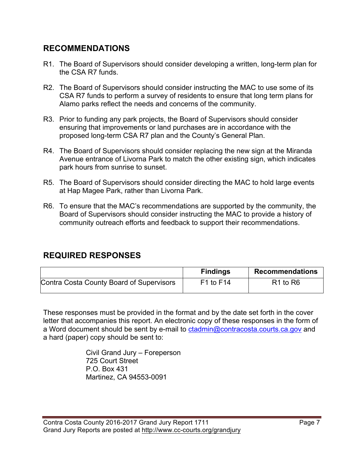# **RECOMMENDATIONS**

- R1. The Board of Supervisors should consider developing a written, long-term plan for the CSA R7 funds.
- R2. The Board of Supervisors should consider instructing the MAC to use some of its CSA R7 funds to perform a survey of residents to ensure that long term plans for Alamo parks reflect the needs and concerns of the community.
- R3. Prior to funding any park projects, the Board of Supervisors should consider ensuring that improvements or land purchases are in accordance with the proposed long-term CSA R7 plan and the County's General Plan.
- R4. The Board of Supervisors should consider replacing the new sign at the Miranda Avenue entrance of Livorna Park to match the other existing sign, which indicates park hours from sunrise to sunset.
- R5. The Board of Supervisors should consider directing the MAC to hold large events at Hap Magee Park, rather than Livorna Park.
- R6. To ensure that the MAC's recommendations are supported by the community, the Board of Supervisors should consider instructing the MAC to provide a history of community outreach efforts and feedback to support their recommendations.

# **REQUIRED RESPONSES**

|                                          | <b>Findings</b> | <b>Recommendations</b>           |
|------------------------------------------|-----------------|----------------------------------|
| Contra Costa County Board of Supervisors | $F1$ to $F14$   | R <sub>1</sub> to R <sub>6</sub> |

These responses must be provided in the format and by the date set forth in the cover letter that accompanies this report. An electronic copy of these responses in the form of a Word document should be sent by e-mail to ctadmin@contracosta.courts.ca.gov and a hard (paper) copy should be sent to:

> Civil Grand Jury – Foreperson 725 Court Street P.O. Box 431 Martinez, CA 94553-0091